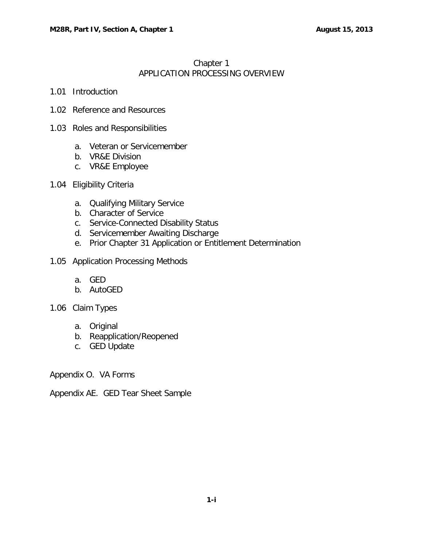## Chapter 1 APPLICATION PROCESSING OVERVIEW

- 1.01 [Introduction](#page-1-0)
- 1.02 [Reference and Resources](#page-1-1)
- 1.03 [Roles and Responsibilities](#page-1-2)
	- a. [Veteran or Servicemember](#page-1-3)
	- b. [VR&E Division](#page-1-4)
	- c. [VR&E Employee](#page-2-0)
- 1.04 [Eligibility Criteria](#page-2-1)
	- a. [Qualifying Military Service](#page-3-0)
	- b. [Character of Service](#page-3-1)
	- c. [Service-Connected Disability Status](#page-3-2)
	- d. [Servicemember Awaiting Discharge](#page-3-3)
	- e. [Prior Chapter 31 Application or Entitlement Determination](#page-3-4)
- 1.05 [Application Processing Methods](#page-3-5)
	- a. [GED](#page-3-6)
	- b. [AutoGED](#page-4-0)
- 1.06 [Claim Types](#page-4-1)
	- a. [Original](#page-4-2)
	- b. [Reapplication/Reopened](#page-4-3)
	- c. [GED Update](#page-4-4)

Appendix O. VA Forms

Appendix AE. GED Tear Sheet Sample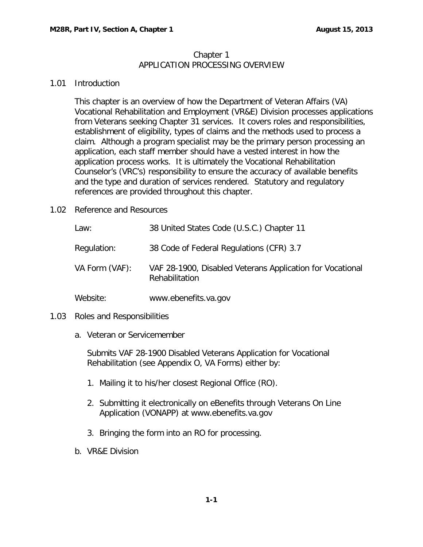## Chapter 1 APPLICATION PROCESSING OVERVIEW

## <span id="page-1-0"></span>1.01 Introduction

This chapter is an overview of how the Department of Veteran Affairs (VA) Vocational Rehabilitation and Employment (VR&E) Division processes applications from Veterans seeking Chapter 31 services. It covers roles and responsibilities, establishment of eligibility, types of claims and the methods used to process a claim. Although a program specialist may be the primary person processing an application, each staff member should have a vested interest in how the application process works. It is ultimately the Vocational Rehabilitation Counselor's (VRC's) responsibility to ensure the accuracy of available benefits and the type and duration of services rendered. Statutory and regulatory references are provided throughout this chapter.

<span id="page-1-1"></span>1.02 Reference and Resources

| Law:           | 38 United States Code (U.S.C.) Chapter 11                                   |
|----------------|-----------------------------------------------------------------------------|
| Regulation:    | 38 Code of Federal Regulations (CFR) 3.7                                    |
| VA Form (VAF): | VAF 28-1900, Disabled Veterans Application for Vocational<br>Rehabilitation |
| Website:       | www.ebenefits.va.gov                                                        |

- <span id="page-1-3"></span><span id="page-1-2"></span>1.03 Roles and Responsibilities
	- a. Veteran or Servicemember

Submits VAF 28-1900 Disabled Veterans Application for Vocational Rehabilitation (see Appendix O, VA Forms) either by:

- 1. Mailing it to his/her closest Regional Office (RO).
- 2. Submitting it electronically on eBenefits through Veterans On Line Application (VONAPP) at [www.ebenefits.va.gov](http://www.ebenefits.va.gov/)
- 3. Bringing the form into an RO for processing.
- <span id="page-1-4"></span>b. VR&E Division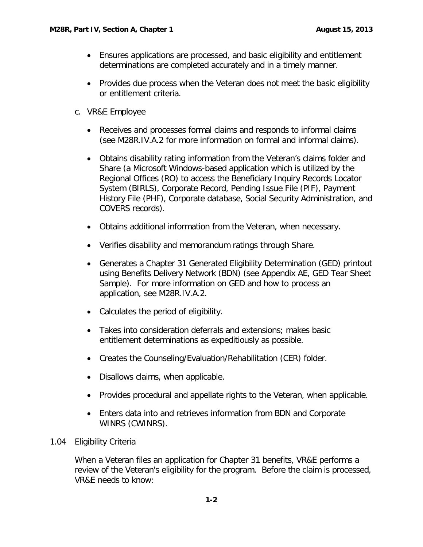- Ensures applications are processed, and basic eligibility and entitlement determinations are completed accurately and in a timely manner.
- Provides due process when the Veteran does not meet the basic eligibility or entitlement criteria.
- <span id="page-2-0"></span>c. VR&E Employee
	- Receives and processes formal claims and responds to informal claims (see M28R.IV.A.2 for more information on formal and informal claims).
	- Obtains disability rating information from the Veteran's claims folder and Share (a Microsoft Windows-based application which is utilized by the Regional Offices (RO) to access the Beneficiary Inquiry Records Locator System (BIRLS), Corporate Record, Pending Issue File (PIF), Payment History File (PHF), Corporate database, Social Security Administration, and COVERS records).
	- Obtains additional information from the Veteran, when necessary.
	- Verifies disability and memorandum ratings through Share.
	- Generates a Chapter 31 Generated Eligibility Determination (GED) printout using Benefits Delivery Network (BDN) (see Appendix AE, GED Tear Sheet Sample). For more information on GED and how to process an application, see M28R.IV.A.2.
	- Calculates the period of eligibility.
	- Takes into consideration deferrals and extensions; makes basic entitlement determinations as expeditiously as possible.
	- Creates the Counseling/Evaluation/Rehabilitation (CER) folder.
	- Disallows claims, when applicable.
	- Provides procedural and appellate rights to the Veteran, when applicable.
	- Enters data into and retrieves information from BDN and Corporate WINRS (CWINRS).
- <span id="page-2-1"></span>1.04 Eligibility Criteria

When a Veteran files an application for Chapter 31 benefits, VR&E performs a review of the Veteran's eligibility for the program. Before the claim is processed, VR&E needs to know: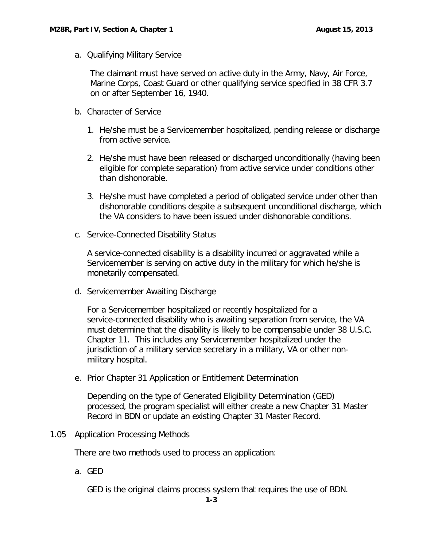<span id="page-3-0"></span>a. Qualifying Military Service

The claimant must have served on active duty in the Army, Navy, Air Force, Marine Corps, Coast Guard or other qualifying service specified in 38 CFR 3.7 on or after September 16, 1940.

- <span id="page-3-1"></span>b. Character of Service
	- 1. He/she must be a Servicemember hospitalized, pending release or discharge from active service.
	- 2. He/she must have been released or discharged unconditionally (having been eligible for complete separation) from active service under conditions other than dishonorable.
	- 3. He/she must have completed a period of obligated service under other than dishonorable conditions despite a subsequent unconditional discharge, which the VA considers to have been issued under dishonorable conditions.
- <span id="page-3-2"></span>c. Service-Connected Disability Status

A service-connected disability is a disability incurred or aggravated while a Servicemember is serving on active duty in the military for which he/she is monetarily compensated.

<span id="page-3-3"></span>d. Servicemember Awaiting Discharge

For a Servicemember hospitalized or recently hospitalized for a service-connected disability who is awaiting separation from service, the VA must determine that the disability is likely to be compensable under 38 U.S.C. Chapter 11. This includes any Servicemember hospitalized under the jurisdiction of a military service secretary in a military, VA or other nonmilitary hospital.

<span id="page-3-4"></span>e. Prior Chapter 31 Application or Entitlement Determination

Depending on the type of Generated Eligibility Determination (GED) processed, the program specialist will either create a new Chapter 31 Master Record in BDN or update an existing Chapter 31 Master Record.

<span id="page-3-6"></span><span id="page-3-5"></span>1.05 Application Processing Methods

There are two methods used to process an application:

a. GED

GED is the original claims process system that requires the use of BDN.